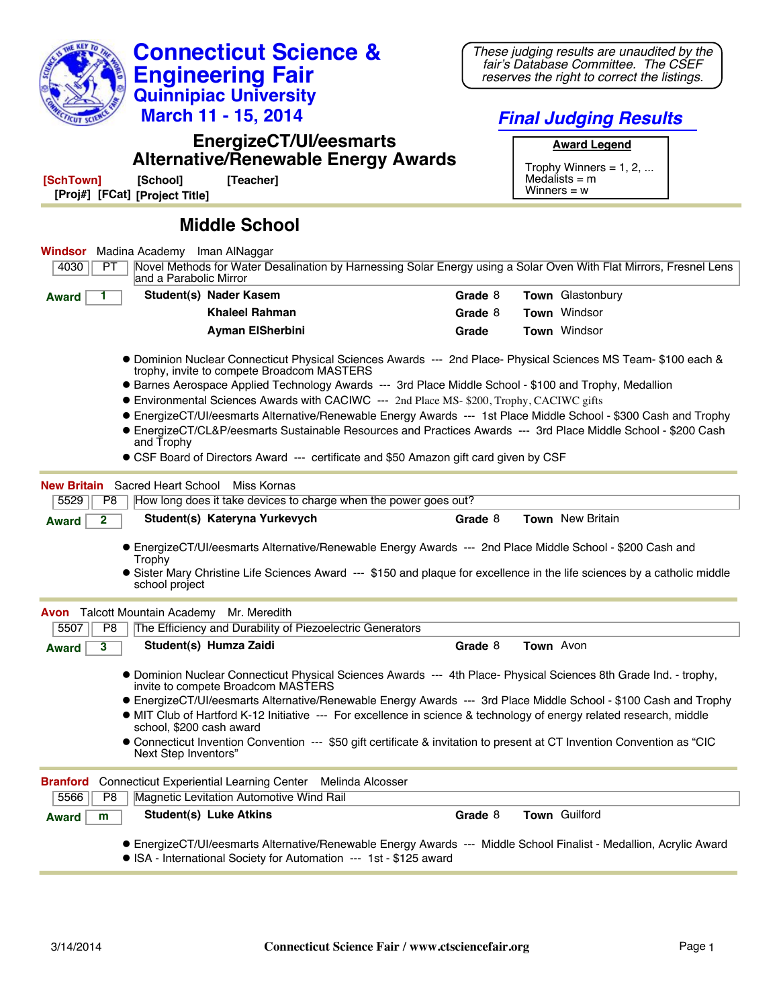|                                                                                                                                                                                                                                                                                                                                                                    | These judging results are unaudited by the                                         |
|--------------------------------------------------------------------------------------------------------------------------------------------------------------------------------------------------------------------------------------------------------------------------------------------------------------------------------------------------------------------|------------------------------------------------------------------------------------|
| <b>Engineering Fair</b>                                                                                                                                                                                                                                                                                                                                            | fair's Database Committee. The CSEF<br>reserves the right to correct the listings. |
| <b>Quinnipiac University</b>                                                                                                                                                                                                                                                                                                                                       |                                                                                    |
| March 11 - 15, 2014                                                                                                                                                                                                                                                                                                                                                | <b>Final Judging Results</b>                                                       |
| <b>EnergizeCT/UI/eesmarts</b><br><b>Alternative/Renewable Energy Awards</b>                                                                                                                                                                                                                                                                                        | <b>Award Legend</b>                                                                |
| [SchTown]<br>[School]<br>[Teacher]                                                                                                                                                                                                                                                                                                                                 | Trophy Winners = $1, 2, $<br>Medalists $=$ m                                       |
| [Proj#] [FCat] [Project Title]                                                                                                                                                                                                                                                                                                                                     | Winners $= w$                                                                      |
| <b>Middle School</b>                                                                                                                                                                                                                                                                                                                                               |                                                                                    |
| Madina Academy Iman AlNaggar<br>Windsor                                                                                                                                                                                                                                                                                                                            |                                                                                    |
| Novel Methods for Water Desalination by Harnessing Solar Energy using a Solar Oven With Flat Mirrors, Fresnel Lens<br>4030<br>PT.<br>and a Parabolic Mirror                                                                                                                                                                                                        |                                                                                    |
| Student(s) Nader Kasem<br><b>Award</b>                                                                                                                                                                                                                                                                                                                             | Grade 8<br>Town Glastonbury                                                        |
| <b>Khaleel Rahman</b>                                                                                                                                                                                                                                                                                                                                              | Town Windsor<br>Grade 8                                                            |
| <b>Ayman ElSherbini</b>                                                                                                                                                                                                                                                                                                                                            | Town Windsor<br>Grade                                                              |
| ● Dominion Nuclear Connecticut Physical Sciences Awards --- 2nd Place- Physical Sciences MS Team- \$100 each &<br>trophy, invite to compete Broadcom MASTERS<br>• Barnes Aerospace Applied Technology Awards --- 3rd Place Middle School - \$100 and Trophy, Medallion<br>• Environmental Sciences Awards with CACIWC --- 2nd Place MS-\$200, Trophy, CACIWC gifts |                                                                                    |
| • EnergizeCT/UI/eesmarts Alternative/Renewable Energy Awards --- 1st Place Middle School - \$300 Cash and Trophy                                                                                                                                                                                                                                                   |                                                                                    |
| • EnergizeCT/CL&P/eesmarts Sustainable Resources and Practices Awards --- 3rd Place Middle School - \$200 Cash                                                                                                                                                                                                                                                     |                                                                                    |
| and Trophy                                                                                                                                                                                                                                                                                                                                                         |                                                                                    |
| • CSF Board of Directors Award --- certificate and \$50 Amazon gift card given by CSF                                                                                                                                                                                                                                                                              |                                                                                    |
| Sacred Heart School<br><b>New Britain</b><br>Miss Kornas                                                                                                                                                                                                                                                                                                           |                                                                                    |
| How long does it take devices to charge when the power goes out?<br>5529<br>P8                                                                                                                                                                                                                                                                                     |                                                                                    |
| Student(s) Kateryna Yurkevych<br>$\mathbf{2}$<br><b>Award</b>                                                                                                                                                                                                                                                                                                      | <b>Town</b> New Britain<br>Grade 8                                                 |
|                                                                                                                                                                                                                                                                                                                                                                    |                                                                                    |
| ● EnergizeCT/UI/eesmarts Alternative/Renewable Energy Awards --- 2nd Place Middle School - \$200 Cash and<br>Trophy                                                                                                                                                                                                                                                |                                                                                    |
| • Sister Mary Christine Life Sciences Award --- \$150 and plaque for excellence in the life sciences by a catholic middle<br>school project                                                                                                                                                                                                                        |                                                                                    |
| Talcott Mountain Academy Mr. Meredith<br>Avon                                                                                                                                                                                                                                                                                                                      |                                                                                    |
| P <sub>8</sub><br>The Efficiency and Durability of Piezoelectric Generators<br>5507                                                                                                                                                                                                                                                                                |                                                                                    |
| Student(s) Humza Zaidi<br>3<br><b>Award</b>                                                                                                                                                                                                                                                                                                                        | Grade 8<br>Town Avon                                                               |
| • Dominion Nuclear Connecticut Physical Sciences Awards --- 4th Place- Physical Sciences 8th Grade Ind. - trophy,<br>invite to compete Broadcom MASTERS                                                                                                                                                                                                            |                                                                                    |
| ● EnergizeCT/UI/eesmarts Alternative/Renewable Energy Awards --- 3rd Place Middle School - \$100 Cash and Trophy<br>• MIT Club of Hartford K-12 Initiative --- For excellence in science & technology of energy related research, middle<br>school, \$200 cash award                                                                                               |                                                                                    |
| • Connecticut Invention Convention --- \$50 gift certificate & invitation to present at CT Invention Convention as "CIC<br>Next Step Inventors"                                                                                                                                                                                                                    |                                                                                    |
| <b>Branford</b><br>Connecticut Experiential Learning Center Melinda Alcosser                                                                                                                                                                                                                                                                                       |                                                                                    |
| Magnetic Levitation Automotive Wind Rail<br>5566<br>P8                                                                                                                                                                                                                                                                                                             |                                                                                    |
| <b>Student(s) Luke Atkins</b><br>m<br><b>Award</b>                                                                                                                                                                                                                                                                                                                 | Town Guilford<br>Grade 8                                                           |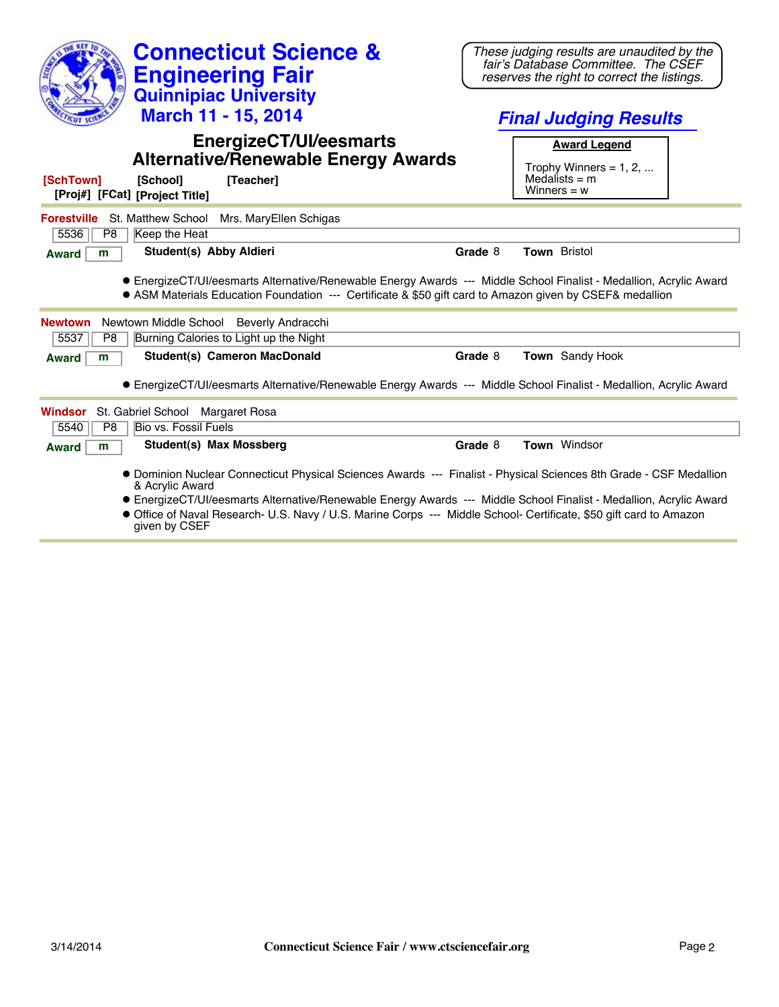| <b>Connecticut Science &amp;</b><br><b>Engineering Fair</b><br><b>Quinnipiac University</b>                                                                                                                                                                                                                                                                                        | These judging results are unaudited by the<br>fair's Database Committee. The CSEF<br>reserves the right to correct the listings. |
|------------------------------------------------------------------------------------------------------------------------------------------------------------------------------------------------------------------------------------------------------------------------------------------------------------------------------------------------------------------------------------|----------------------------------------------------------------------------------------------------------------------------------|
| March 11 - 15, 2014                                                                                                                                                                                                                                                                                                                                                                | <b>Final Judging Results</b>                                                                                                     |
| <b>EnergizeCT/UI/eesmarts</b><br><b>Alternative/Renewable Energy Awards</b><br>[SchTown]<br>[School]<br>[Teacher]<br>[Proj#] [FCat] [Project Title]                                                                                                                                                                                                                                | <b>Award Legend</b><br>Trophy Winners = $1, 2, $<br>Medalists $=$ m<br>Winners = $w$                                             |
| <b>Forestville</b> St. Matthew School<br>Mrs. MaryEllen Schigas<br>5536<br>Keep the Heat<br>P8                                                                                                                                                                                                                                                                                     |                                                                                                                                  |
| Student(s) Abby Aldieri<br><b>Award</b><br>m                                                                                                                                                                                                                                                                                                                                       | <b>Town Bristol</b><br>Grade 8                                                                                                   |
| • EnergizeCT/UI/eesmarts Alternative/Renewable Energy Awards --- Middle School Finalist - Medallion, Acrylic Award<br>• ASM Materials Education Foundation --- Certificate & \$50 gift card to Amazon given by CSEF& medallion<br>Newtown Middle School Beverly Andracchi<br><b>Newtown</b>                                                                                        |                                                                                                                                  |
| Burning Calories to Light up the Night<br>5537<br>P <sub>8</sub><br><b>Student(s) Cameron MacDonald</b><br>m<br><b>Award</b>                                                                                                                                                                                                                                                       | <b>Town</b> Sandy Hook<br>Grade 8                                                                                                |
| • EnergizeCT/UI/eesmarts Alternative/Renewable Energy Awards --- Middle School Finalist - Medallion, Acrylic Award<br>St. Gabriel School Margaret Rosa<br><b>Windsor</b><br><b>Bio vs. Fossil Fuels</b><br>5540<br>P8                                                                                                                                                              |                                                                                                                                  |
| Student(s) Max Mossberg<br>m<br><b>Award</b>                                                                                                                                                                                                                                                                                                                                       | Town Windsor<br>Grade 8                                                                                                          |
| • Dominion Nuclear Connecticut Physical Sciences Awards --- Finalist - Physical Sciences 8th Grade - CSF Medallion<br>& Acrylic Award<br>• EnergizeCT/UI/eesmarts Alternative/Renewable Energy Awards --- Middle School Finalist - Medallion, Acrylic Award<br>• Office of Naval Research- U.S. Navy / U.S. Marine Corps. --- Middle School- Certificate, \$50 gift card to Amazon |                                                                                                                                  |

search- U.S. Navy / U.S. Marine Corps --- Middle School- Certificate, \$50 gift card to given by CSEF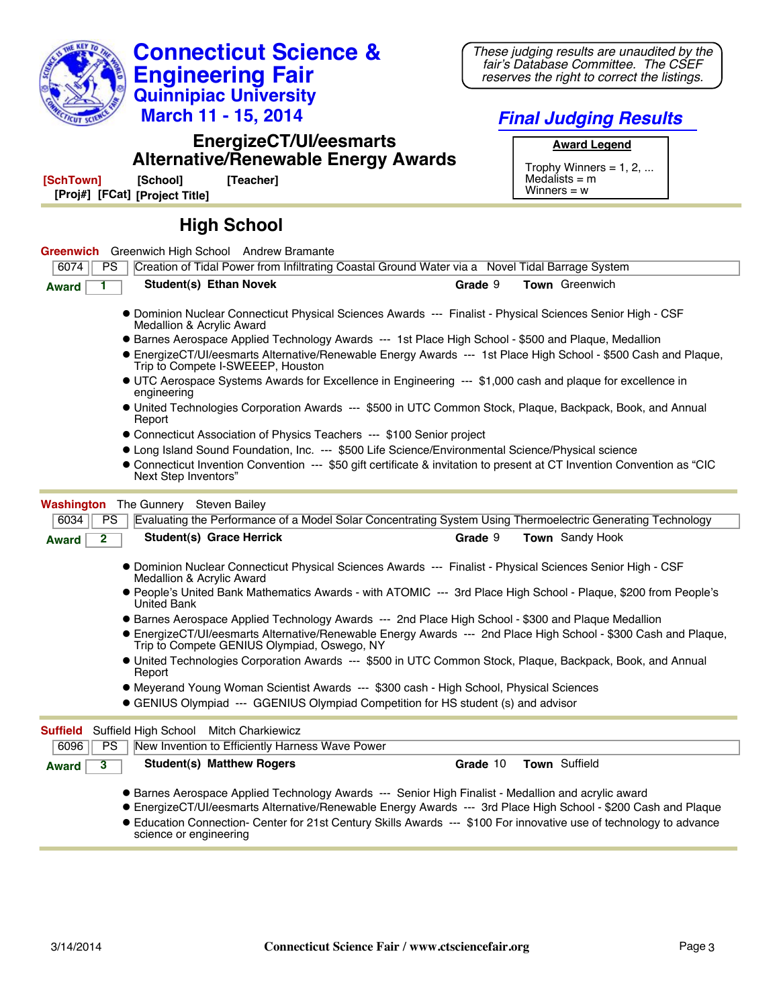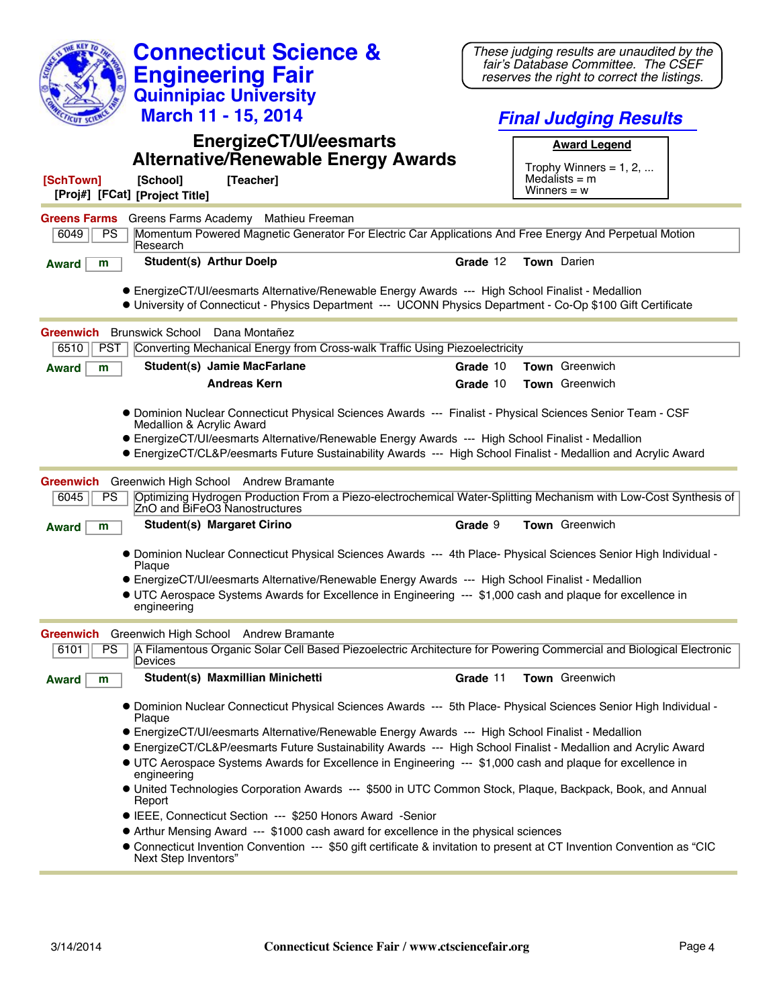| <b>Connecticut Science &amp;</b>                                                                                                                                                                                                                                                                                                                               |          | These judging results are unaudited by the                                         |  |
|----------------------------------------------------------------------------------------------------------------------------------------------------------------------------------------------------------------------------------------------------------------------------------------------------------------------------------------------------------------|----------|------------------------------------------------------------------------------------|--|
| <b>Engineering Fair</b>                                                                                                                                                                                                                                                                                                                                        |          | fair's Database Committee. The CSEF<br>reserves the right to correct the listings. |  |
| <b>Quinnipiac University</b>                                                                                                                                                                                                                                                                                                                                   |          |                                                                                    |  |
| March 11 - 15, 2014                                                                                                                                                                                                                                                                                                                                            |          | <b>Final Judging Results</b>                                                       |  |
| <b>EnergizeCT/UI/eesmarts</b>                                                                                                                                                                                                                                                                                                                                  |          | <b>Award Legend</b>                                                                |  |
| <b>Alternative/Renewable Energy Awards</b>                                                                                                                                                                                                                                                                                                                     |          | Trophy Winners = $1, 2, $                                                          |  |
| [SchTown]<br>[School]<br>[Teacher]<br>[Proj#] [FCat] [Project Title]                                                                                                                                                                                                                                                                                           |          | Medalists $=$ m<br>Winners = $w$                                                   |  |
| <b>Greens Farms</b><br>Greens Farms Academy Mathieu Freeman                                                                                                                                                                                                                                                                                                    |          |                                                                                    |  |
| Momentum Powered Magnetic Generator For Electric Car Applications And Free Energy And Perpetual Motion<br>6049<br><b>PS</b><br>Research                                                                                                                                                                                                                        |          |                                                                                    |  |
| <b>Student(s) Arthur Doelp</b><br>m<br><b>Award</b>                                                                                                                                                                                                                                                                                                            | Grade 12 | Town Darien                                                                        |  |
| • EnergizeCT/UI/eesmarts Alternative/Renewable Energy Awards --- High School Finalist - Medallion<br>• University of Connecticut - Physics Department --- UCONN Physics Department - Co-Op \$100 Gift Certificate                                                                                                                                              |          |                                                                                    |  |
| <b>Brunswick School</b><br>Dana Montañez<br>Greenwich                                                                                                                                                                                                                                                                                                          |          |                                                                                    |  |
| Converting Mechanical Energy from Cross-walk Traffic Using Piezoelectricity<br>6510<br><b>PST</b>                                                                                                                                                                                                                                                              |          |                                                                                    |  |
| Student(s) Jamie MacFarlane<br>m<br><b>Award</b>                                                                                                                                                                                                                                                                                                               | Grade 10 | <b>Town</b> Greenwich                                                              |  |
| <b>Andreas Kern</b>                                                                                                                                                                                                                                                                                                                                            | Grade 10 | Town Greenwich                                                                     |  |
| . Dominion Nuclear Connecticut Physical Sciences Awards --- Finalist - Physical Sciences Senior Team - CSF<br>Medallion & Acrylic Award<br>• EnergizeCT/UI/eesmarts Alternative/Renewable Energy Awards --- High School Finalist - Medallion<br>• EnergizeCT/CL&P/eesmarts Future Sustainability Awards --- High School Finalist - Medallion and Acrylic Award |          |                                                                                    |  |
| Greenwich High School Andrew Bramante<br>Greenwich                                                                                                                                                                                                                                                                                                             |          |                                                                                    |  |
| PS<br>Optimizing Hydrogen Production From a Piezo-electrochemical Water-Splitting Mechanism with Low-Cost Synthesis of<br>6045<br>ZnO and BiFeO3 Nanostructures                                                                                                                                                                                                |          |                                                                                    |  |
| <b>Student(s) Margaret Cirino</b><br>m<br><b>Award</b>                                                                                                                                                                                                                                                                                                         | Grade 9  | Town Greenwich                                                                     |  |
| • Dominion Nuclear Connecticut Physical Sciences Awards --- 4th Place- Physical Sciences Senior High Individual -<br>Plaque                                                                                                                                                                                                                                    |          |                                                                                    |  |
| • EnergizeCT/UI/eesmarts Alternative/Renewable Energy Awards --- High School Finalist - Medallion                                                                                                                                                                                                                                                              |          |                                                                                    |  |
| • UTC Aerospace Systems Awards for Excellence in Engineering --- \$1,000 cash and plaque for excellence in<br>engineering                                                                                                                                                                                                                                      |          |                                                                                    |  |
| Greenwich High School Andrew Bramante<br>Greenwich                                                                                                                                                                                                                                                                                                             |          |                                                                                    |  |
| 6101<br>A Filamentous Organic Solar Cell Based Piezoelectric Architecture for Powering Commercial and Biological Electronic<br><b>PS</b><br>Devices                                                                                                                                                                                                            |          |                                                                                    |  |
| Student(s) Maxmillian Minichetti<br><b>Award</b><br>m                                                                                                                                                                                                                                                                                                          | Grade 11 | Town Greenwich                                                                     |  |
| . Dominion Nuclear Connecticut Physical Sciences Awards --- 5th Place- Physical Sciences Senior High Individual<br>Plaque                                                                                                                                                                                                                                      |          |                                                                                    |  |
| • EnergizeCT/UI/eesmarts Alternative/Renewable Energy Awards --- High School Finalist - Medallion                                                                                                                                                                                                                                                              |          |                                                                                    |  |
| • EnergizeCT/CL&P/eesmarts Future Sustainability Awards --- High School Finalist - Medallion and Acrylic Award<br>• UTC Aerospace Systems Awards for Excellence in Engineering --- \$1,000 cash and plaque for excellence in<br>engineering                                                                                                                    |          |                                                                                    |  |
| • United Technologies Corporation Awards --- \$500 in UTC Common Stock, Plaque, Backpack, Book, and Annual<br>Report                                                                                                                                                                                                                                           |          |                                                                                    |  |
| • IEEE, Connecticut Section --- \$250 Honors Award -Senior                                                                                                                                                                                                                                                                                                     |          |                                                                                    |  |
| • Arthur Mensing Award --- \$1000 cash award for excellence in the physical sciences                                                                                                                                                                                                                                                                           |          |                                                                                    |  |
| • Connecticut Invention Convention --- \$50 gift certificate & invitation to present at CT Invention Convention as "CIC<br>Next Step Inventors"                                                                                                                                                                                                                |          |                                                                                    |  |